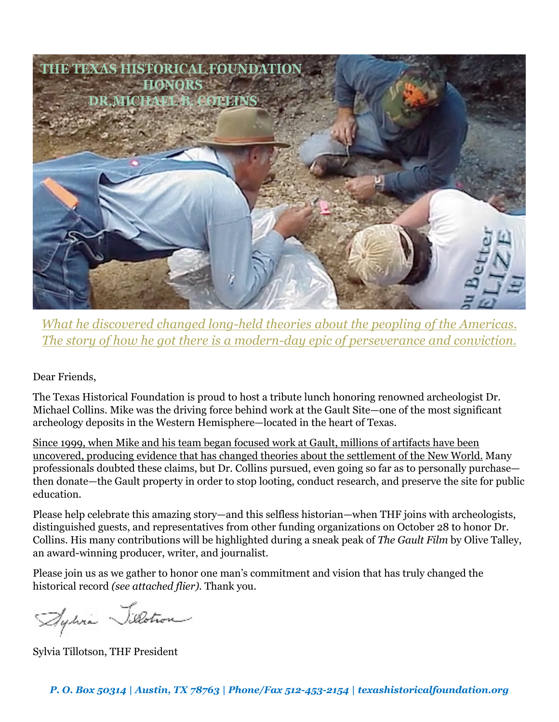

*What he discovered changed long-held theories about the peopling of the Americas. The story of how he got there is a modern-day epic of perseverance and conviction.*

Dear Friends,

The Texas Historical Foundation is proud to host a tribute lunch honoring renowned archeologist Dr. Michael Collins. Mike was the driving force behind work at the Gault Site—one of the most significant archeology deposits in the Western Hemisphere—located in the heart of Texas.

Since 1999, when Mike and his team began focused work at Gault, millions of artifacts have been uncovered, producing evidence that has changed theories about the settlement of the New World. Many professionals doubted these claims, but Dr. Collins pursued, even going so far as to personally purchase then donate—the Gault property in order to stop looting, conduct research, and preserve the site for public education.

Please help celebrate this amazing story—and this selfless historian—when THF joins with archeologists, distinguished guests, and representatives from other funding organizations on October 28 to honor Dr. Collins. His many contributions will be highlighted during a sneak peak of *The Gault Film* by Olive Talley, an award-winning producer, writer, and journalist.

Please join us as we gather to honor one man's commitment and vision that has truly changed the historical record *(see attached flier).* Thank you.

Aydria Silotron

Sylvia Tillotson, THF President

*P. O. Box 50314 | Austin, TX 78763 | Phone/Fax 512-453-2154 | texashistoricalfoundation.org*